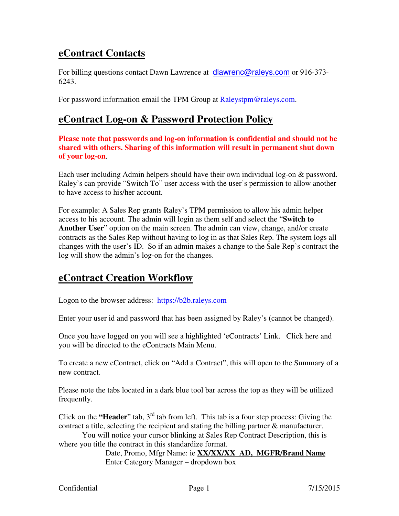## **eContract Contacts**

For billing questions contact Dawn Lawrence at **dlawrenc@raleys.com** or 916-373-6243.

For password information email the TPM Group at Raleystpm@raleys.com.

### **eContract Log-on & Password Protection Policy**

**Please note that passwords and log-on information is confidential and should not be shared with others. Sharing of this information will result in permanent shut down of your log-on**.

Each user including Admin helpers should have their own individual log-on & password. Raley's can provide "Switch To" user access with the user's permission to allow another to have access to his/her account.

For example: A Sales Rep grants Raley's TPM permission to allow his admin helper access to his account. The admin will login as them self and select the "**Switch to Another User**" option on the main screen. The admin can view, change, and/or create contracts as the Sales Rep without having to log in as that Sales Rep. The system logs all changes with the user's ID. So if an admin makes a change to the Sale Rep's contract the log will show the admin's log-on for the changes.

## **eContract Creation Workflow**

Logon to the browser address: https://b2b.raleys.com

Enter your user id and password that has been assigned by Raley's (cannot be changed).

Once you have logged on you will see a highlighted 'eContracts' Link. Click here and you will be directed to the eContracts Main Menu.

To create a new eContract, click on "Add a Contract", this will open to the Summary of a new contract.

Please note the tabs located in a dark blue tool bar across the top as they will be utilized frequently.

Click on the **"Header**" tab,  $3<sup>rd</sup>$  tab from left. This tab is a four step process: Giving the contract a title, selecting the recipient and stating the billing partner & manufacturer.

 You will notice your cursor blinking at Sales Rep Contract Description, this is where you title the contract in this standardize format.

> Date, Promo, Mfgr Name: ie **XX/XX/XX AD, MGFR/Brand Name** Enter Category Manager – dropdown box

Confidential Page 1 7/15/2015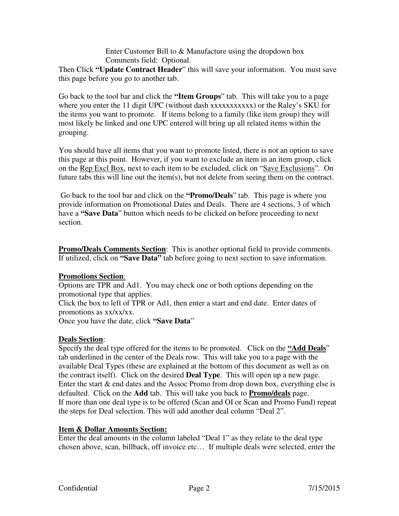Enter Customer Bill to & Manufacture using the dropdown box Comments field: Optional.

Then Click **"Update Contract Header**" this will save your information. You must save this page before you go to another tab.

Go back to the tool bar and click the **"Item Groups**" tab. This will take you to a page where you enter the 11 digit UPC (without dash xxxxxxxxxxxx) or the Raley's SKU for the items you want to promote. If items belong to a family (like item group) they will most likely be linked and one UPC entered will bring up all related items within the grouping.

You should have all items that you want to promote listed, there is not an option to save this page at this point. However, if you want to exclude an item in an item group, click on the Rep Excl Box, next to each item to be excluded, click on "Save Exclusions". On future tabs this will line out the item(s), but not delete from seeing them on the contract.

 Go back to the tool bar and click on the **"Promo/Deals**" tab. This page is where you provide information on Promotional Dates and Deals. There are 4 sections, 3 of which have a **"Save Data**" button which needs to be clicked on before proceeding to next section.

**Promo/Deals Comments Section**: This is another optional field to provide comments. If utilized, click on **"Save Data"** tab before going to next section to save information.

#### **Promotions Section**:

Options are TPR and Ad1. You may check one or both options depending on the promotional type that applies.

Click the box to left of TPR or Ad1, then enter a start and end date. Enter dates of promotions as xx/xx/xx.

Once you have the date, click **"Save Data**"

#### **Deals Section**:

Specify the deal type offered for the items to be promoted. Click on the **"Add Deals**" tab underlined in the center of the Deals row. This will take you to a page with the available Deal Types (these are explained at the bottom of this document as well as on the contract itself). Click on the desired **Deal Type**. This will open up a new page. Enter the start & end dates and the Assoc Promo from drop down box, everything else is defaulted. Click on the **Add** tab. This will take you back to **Promo/deals** page. If more than one deal type is to be offered (Scan and OI or Scan and Promo Fund) repeat the steps for Deal selection. This will add another deal column "Deal 2".

#### **Item & Dollar Amounts Section:**

Enter the deal amounts in the column labeled "Deal 1" as they relate to the deal type chosen above, scan, billback, off invoice etc… If multiple deals were selected, enter the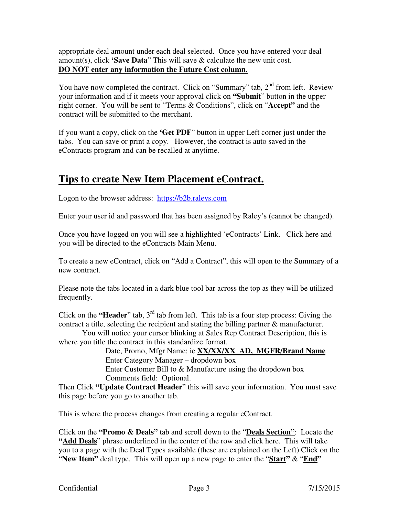appropriate deal amount under each deal selected. Once you have entered your deal amount(s), click **'Save Data**" This will save & calculate the new unit cost. **DO NOT enter any information the Future Cost column**.

You have now completed the contract. Click on "Summary" tab,  $2<sup>nd</sup>$  from left. Review your information and if it meets your approval click on **"Submit**" button in the upper right corner. You will be sent to "Terms & Conditions", click on "**Accept"** and the contract will be submitted to the merchant.

If you want a copy, click on the **'Get PDF**" button in upper Left corner just under the tabs. You can save or print a copy. However, the contract is auto saved in the eContracts program and can be recalled at anytime.

## **Tips to create New Item Placement eContract.**

Logon to the browser address: https://b2b.raleys.com

Enter your user id and password that has been assigned by Raley's (cannot be changed).

Once you have logged on you will see a highlighted 'eContracts' Link. Click here and you will be directed to the eContracts Main Menu.

To create a new eContract, click on "Add a Contract", this will open to the Summary of a new contract.

Please note the tabs located in a dark blue tool bar across the top as they will be utilized frequently.

Click on the **"Header**" tab,  $3<sup>rd</sup>$  tab from left. This tab is a four step process: Giving the contract a title, selecting the recipient and stating the billing partner & manufacturer.

 You will notice your cursor blinking at Sales Rep Contract Description, this is where you title the contract in this standardize format.

 Date, Promo, Mfgr Name: ie **XX/XX/XX AD, MGFR/Brand Name** Enter Category Manager – dropdown box

 Enter Customer Bill to & Manufacture using the dropdown box Comments field: Optional.

Then Click **"Update Contract Header**" this will save your information. You must save this page before you go to another tab.

This is where the process changes from creating a regular eContract.

Click on the **"Promo & Deals"** tab and scroll down to the "**Deals Section"**: Locate the "Add Deals" phrase underlined in the center of the row and click here. This will take you to a page with the Deal Types available (these are explained on the Left) Click on the "**New Item"** deal type. This will open up a new page to enter the "**Start"** & "**End"**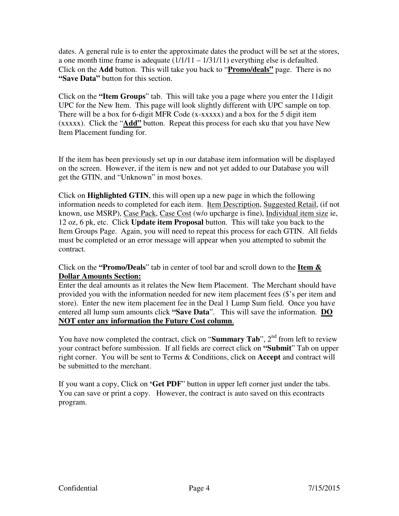dates. A general rule is to enter the approximate dates the product will be set at the stores, a one month time frame is adequate  $(1/1/11 - 1/31/11)$  everything else is defaulted. Click on the **Add** button. This will take you back to "**Promo/deals"** page. There is no **"Save Data"** button for this section.

Click on the **"Item Groups**" tab. This will take you a page where you enter the 11digit UPC for the New Item. This page will look slightly different with UPC sample on top. There will be a box for 6-digit MFR Code (x-xxxxx) and a box for the 5 digit item (xxxxx). Click the "**Add"** button. Repeat this process for each sku that you have New Item Placement funding for.

If the item has been previously set up in our database item information will be displayed on the screen. However, if the item is new and not yet added to our Database you will get the GTIN, and "Unknown" in most boxes.

Click on **Highlighted GTIN**, this will open up a new page in which the following information needs to completed for each item. Item Description, Suggested Retail, (if not known, use MSRP), Case Pack, Case Cost (w/o upcharge is fine), Individual item size ie, 12 oz, 6 pk, etc. Click **Update item Proposal** button. This will take you back to the Item Groups Page. Again, you will need to repeat this process for each GTIN. All fields must be completed or an error message will appear when you attempted to submit the contract.

Click on the **"Promo/Deals**" tab in center of tool bar and scroll down to the **Item & Dollar Amounts Section:**

Enter the deal amounts as it relates the New Item Placement. The Merchant should have provided you with the information needed for new item placement fees (\$'s per item and store). Enter the new item placement fee in the Deal 1 Lump Sum field. Once you have entered all lump sum amounts click **"Save Data**". This will save the information. **DO NOT enter any information the Future Cost column**.

You have now completed the contract, click on "**Summary Tab**", 2<sup>nd</sup> from left to review your contract before sumbission. If all fields are correct click on **"Submit**" Tab on upper right corner. You will be sent to Terms & Conditions, click on **Accept** and contract will be submitted to the merchant.

If you want a copy, Click on **'Get PDF**" button in upper left corner just under the tabs. You can save or print a copy. However, the contract is auto saved on this econtracts program.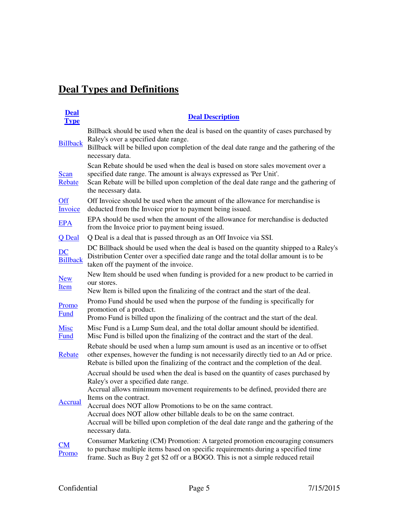# **Deal Types and Definitions**

| <b>Deal</b><br><b>Type</b> | <b>Deal Description</b>                                                                                                                                                                                                                                              |
|----------------------------|----------------------------------------------------------------------------------------------------------------------------------------------------------------------------------------------------------------------------------------------------------------------|
| <b>Billback</b>            | Billback should be used when the deal is based on the quantity of cases purchased by<br>Raley's over a specified date range.<br>Billback will be billed upon completion of the deal date range and the gathering of the                                              |
|                            | necessary data.                                                                                                                                                                                                                                                      |
| <b>Scan</b><br>Rebate      | Scan Rebate should be used when the deal is based on store sales movement over a<br>specified date range. The amount is always expressed as 'Per Unit'.<br>Scan Rebate will be billed upon completion of the deal date range and the gathering of                    |
|                            | the necessary data.                                                                                                                                                                                                                                                  |
| <b>Off</b><br>Invoice      | Off Invoice should be used when the amount of the allowance for merchandise is<br>deducted from the Invoice prior to payment being issued.                                                                                                                           |
| <b>EPA</b>                 | EPA should be used when the amount of the allowance for merchandise is deducted<br>from the Invoice prior to payment being issued.                                                                                                                                   |
| Q Deal                     | Q Deal is a deal that is passed through as an Off Invoice via SSI.                                                                                                                                                                                                   |
| DC<br><b>Billback</b>      | DC Billback should be used when the deal is based on the quantity shipped to a Raley's<br>Distribution Center over a specified date range and the total dollar amount is to be<br>taken off the payment of the invoice.                                              |
| <b>New</b><br>Item         | New Item should be used when funding is provided for a new product to be carried in<br>our stores.                                                                                                                                                                   |
|                            | New Item is billed upon the finalizing of the contract and the start of the deal.                                                                                                                                                                                    |
| Promo<br><b>Fund</b>       | Promo Fund should be used when the purpose of the funding is specifically for<br>promotion of a product.<br>Promo Fund is billed upon the finalizing of the contract and the start of the deal.                                                                      |
| <b>Misc</b><br><b>Fund</b> | Misc Fund is a Lump Sum deal, and the total dollar amount should be identified.<br>Misc Fund is billed upon the finalizing of the contract and the start of the deal.                                                                                                |
| Rebate                     | Rebate should be used when a lump sum amount is used as an incentive or to offset<br>other expenses, however the funding is not necessarily directly tied to an Ad or price.<br>Rebate is billed upon the finalizing of the contract and the completion of the deal. |
| <b>Accrual</b>             | Accrual should be used when the deal is based on the quantity of cases purchased by<br>Raley's over a specified date range.                                                                                                                                          |
|                            | Accrual allows minimum movement requirements to be defined, provided there are<br>Items on the contract.                                                                                                                                                             |
|                            | Accrual does NOT allow Promotions to be on the same contract.                                                                                                                                                                                                        |
|                            | Accrual does NOT allow other billable deals to be on the same contract.<br>Accrual will be billed upon completion of the deal date range and the gathering of the<br>necessary data.                                                                                 |
| CM<br>Promo                | Consumer Marketing (CM) Promotion: A targeted promotion encouraging consumers<br>to purchase multiple items based on specific requirements during a specified time<br>frame. Such as Buy 2 get \$2 off or a BOGO. This is not a simple reduced retail                |